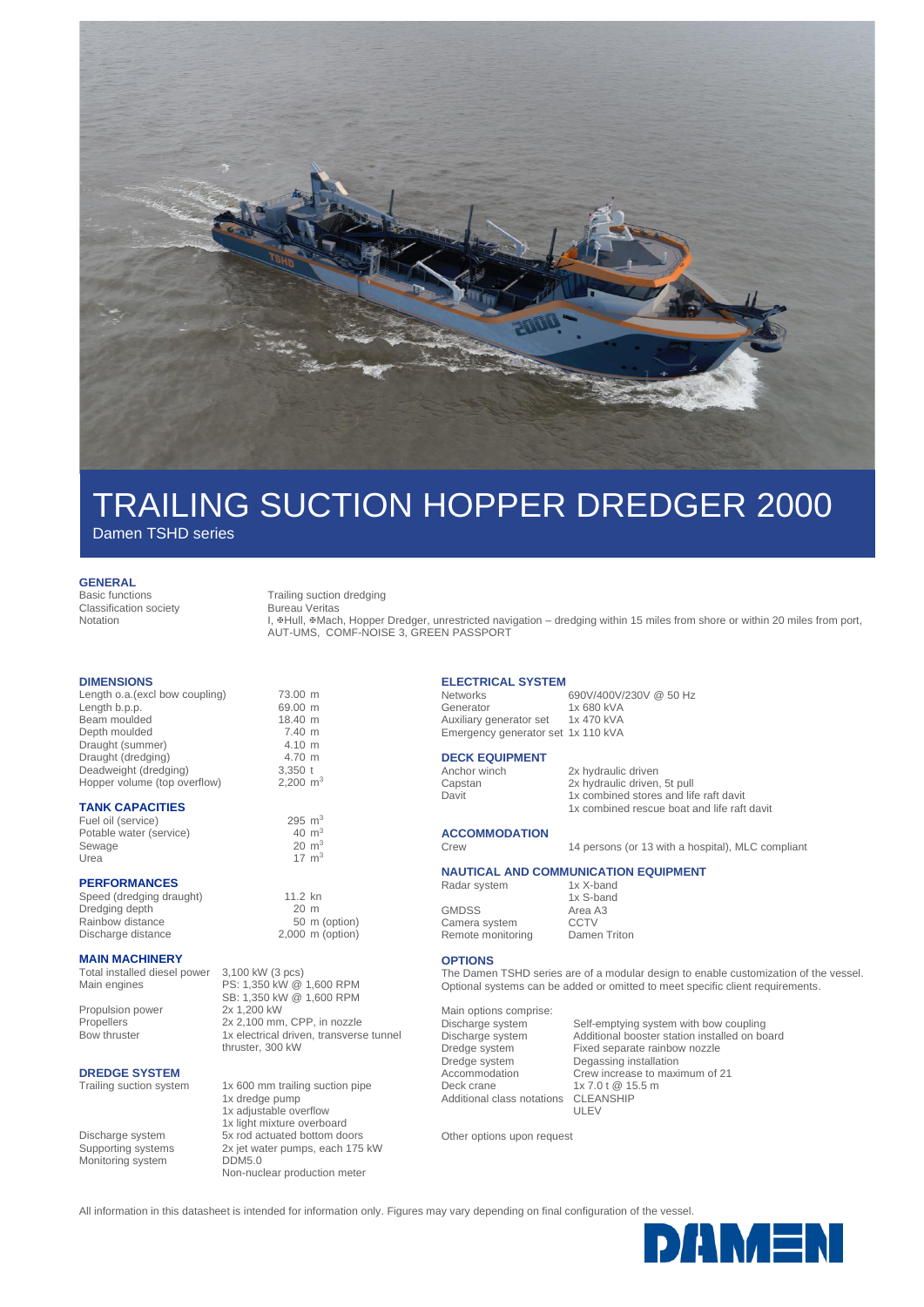

# TRAILING SUCTION HOPPER DREDGER 2000

Damen TSHD series

#### **GENERAL**

Basic functions Trailing suction dredging Classification society Notation

Bureau Veritas

L. #Hull, #Mach, Hopper Dredger, unrestricted navigation – dredging within 15 miles from shore or within 20 miles from port, AUT-UMS, COMF-NOISE 3, GREEN PASSPORT

#### **DIMENSIONS**

Length o.a.(excl bow coupling) 73.00 m<br>Length b.p.p. 69.00 m Length b.p.p. son coupling 69.00 m<br>Beam moulded 18.40 m Beam moulded 18.40 m<br>
Depth moulded 7.40 m Depth moulded 7.40 m<br>Draught (summer) 7.40 m Draught (summer) 4.10 m<br>Draught (dredging) 4.70 m Draught (dredging) 4.70 m<br>Deadweight (dredging) 3.350 t Deadweight (dredging) Hopper volume (top overflow) 2,200 m<sup>3</sup>

### **TANK CAPACITIES**

Fuel oil (service)  $295 \text{ m}^3$ <br>Potable water (service)  $40 \text{ m}^3$ Potable water (service)  $40 \text{ m}^3$ <br>Sewage  $20 \text{ m}^3$ Sewage<br>Urea

### **PERFORMANCES**

Speed (dredging draught) 11.2 kn<br>Dredging depth 120 m Dredging depth 20 m<br>Rainbow distance 50 m (option) Rainbow distance

#### **MAIN MACHINERY**

Total installed diesel power 3,100 kW (3 pcs)<br>Main engines PS: 1,350 kW @ Propulsion power

PS: 1,350 kW @ 1,600 RPM SB: 1,350 kW @ 1,600 RPM<br>2x 1,200 kW Propellers 2x 2,100 mm, CPP, in nozzle Bow thruster 1x electrical driven, transverse tunnel

**DREDGE SYSTEM**<br>Trailing suction system

Monitoring system DDM5.0

Discharge distance 2,000 m (option)

 $17 \text{ m}^3$ 

thruster, 300 kW

1x 600 mm trailing suction pipe 1x dredge pump 1x adjustable overflow 1x light mixture overboard Discharge system 5x rod actuated bottom doors Supporting systems 2x jet water pumps, each 175 kW Non-nuclear production meter

**ELECTRICAL SYSTEM**

 $N$ etworks 690V/400V/230V @ 50 Hz<br>Generator 1x 680 kVA 1x 680 kVA<br>1x 470 kVA Auxiliary generator set Emergency generator set 1x 110 kVA

# **DECK EQUIPMENT**<br>Anchor winch

Anchor winch 2x hydraulic driven<br>
Capstan 2x hydraulic driven Capstan 2x hydraulic driven, 5t pull<br>
Davit 1x combined stores and life 1x combined stores and life raft davit 1x combined rescue boat and life raft davit

# **ACCOMMODATION**

Crew 14 persons (or 13 with a hospital), MLC compliant

# **NAUTICAL AND COMMUNICATION EQUIPMENT**<br>Radar system 1x X-band

Radar system Camera system

1x S-band GMDSS Area A3<br>Camera system CCTV Remote monitoring Damen Triton

## **OPTIONS**

The Damen TSHD series are of a modular design to enable customization of the vessel. Optional systems can be added or omitted to meet specific client requirements.

Main options comprise: Deck crane 1x 7.0 t @ 15.5 m<br>Additional class notations CLEANSHIP Additional class notations

Discharge system Self-emptying system with bow coupling<br>Discharge system Additional booster station installed on bo Discharge system Additional booster station installed on board Fixed separate rainbow nozzle Dredge system Degassing installation Accommodation Crew increase to maximum of 21 ULEV

Other options upon request

All information in this datasheet is intended for information only. Figures may vary depending on final configuration of the vessel.